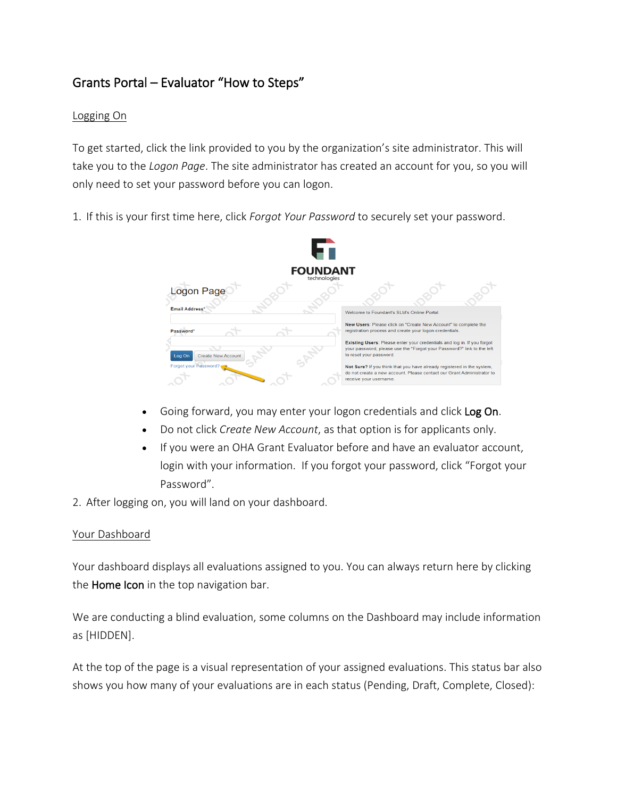# Grants Portal – Evaluator "How to Steps"

## Logging On

To get started, click the link provided to you by the organization's site administrator. This will take you to the *Logon Page*. The site administrator has created an account for you, so you will only need to set your password before you can logon.

1. If this is your first time here, click *Forgot Your Password* to securely set your password.



- Going forward, you may enter your logon credentials and click Log On.
- Do not click *Create New Account*, as that option is for applicants only.
- If you were an OHA Grant Evaluator before and have an evaluator account, login with your information. If you forgot your password, click "Forgot your Password".
- 2. After logging on, you will land on your dashboard.

### Your Dashboard

Your dashboard displays all evaluations assigned to you. You can always return here by clicking the **Home Icon** in the top navigation bar.

We are conducting a blind evaluation, some columns on the Dashboard may include information as [HIDDEN].

At the top of the page is a visual representation of your assigned evaluations. This status bar also shows you how many of your evaluations are in each status (Pending, Draft, Complete, Closed):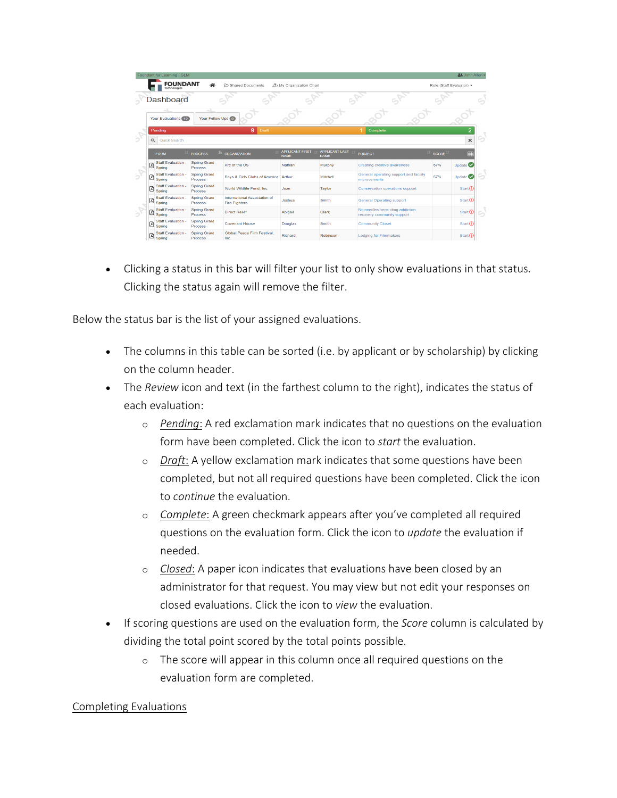|             | Foundant for Learning - GLM                                |                                       |                                                      |                                       |                                      |                                                               |          | <u>2:</u> John Allen ▼                |   |
|-------------|------------------------------------------------------------|---------------------------------------|------------------------------------------------------|---------------------------------------|--------------------------------------|---------------------------------------------------------------|----------|---------------------------------------|---|
|             | <b>FOUNDANT</b><br>technologies                            | 谷                                     | Shared Documents                                     | S& My Organization Chart              |                                      |                                                               |          | Role (Staff Evaluator) +              |   |
|             | <b>Dashboard</b>                                           |                                       |                                                      |                                       |                                      |                                                               |          |                                       | G |
|             | Your Evaluations 12                                        | Your Follow Ups (0)                   |                                                      |                                       |                                      |                                                               |          |                                       |   |
|             | Pending                                                    |                                       | 9<br>Draft                                           |                                       |                                      | Complete                                                      |          | $\overline{2}$                        |   |
| Б<br>Б<br>Б | $\alpha$<br>Quick Search                                   |                                       |                                                      |                                       |                                      |                                                               |          | $\times$                              |   |
|             | <b>FORM</b>                                                | <b>PROCESS</b>                        | 韭<br>ORGANIZATION                                    | <b>APPLICANT FIRST</b><br><b>NAME</b> | <b>APPLICANT LAST</b><br><b>NAME</b> | <b>PROJECT</b>                                                | IT SCORE | m                                     |   |
|             | Staff Evaluation -<br>圓<br>Spring                          | <b>Spring Grant</b><br><b>Process</b> | Arc of the US                                        | Nathan                                | Murphy                               | <b>Creating creative awareness</b>                            | 57%      | Update $\bullet$                      |   |
|             | <b>Staff Evaluation -</b><br>$\mathbb{E}$ sum $\mathbb{E}$ | <b>Spring Grant</b><br><b>Process</b> | Boys & Girls Clubs of America Arthur                 |                                       | Mitchell                             | General operating support and facility<br><i>improvements</i> | 57%      | Update <sup></sup>                    |   |
|             | <b>Staff Evaluation -</b><br>圓<br>Spring                   | <b>Spring Grant</b><br>Process        | World Wildlife Fund, Inc.                            | Juan                                  | Taylor                               | Conservation operations support                               |          | Start                                 |   |
|             | Staff Evaluation -<br>$ \mathbb{B} ^{\text{Sum}}$          | <b>Spring Grant</b><br>Process        | International Association of<br><b>Fire Fighters</b> | Joshua                                | Smith                                | <b>General Operating support</b>                              |          | Start                                 |   |
|             | <b>Staff Evaluation -</b><br>$\mathbb{B}$ Spring           | Spring Grant<br><b>Process</b>        | <b>Direct Relief</b>                                 | Abigail                               | Clark                                | No needles here- drug addiction<br>recovery community support |          | $Start$ <sup><math>\odot</math></sup> |   |
|             | <b>Staff Evaluation -</b><br>$\Box$ Spring                 | <b>Spring Grant</b><br><b>Process</b> | <b>Covenant House</b>                                | Douglas                               | Smith                                | <b>Community Closet</b>                                       |          | Start                                 |   |
|             | <b>Staff Evaluation -</b><br>Ø<br>Spring                   | <b>Spring Grant</b><br><b>Procass</b> | Global Peace Film Festival.<br>Inc.                  | Richard                               | Robinson                             | <b>Lodging for Filmmakers</b>                                 |          | Start()                               |   |

• Clicking a status in this bar will filter your list to only show evaluations in that status. Clicking the status again will remove the filter.

Below the status bar is the list of your assigned evaluations.

- The columns in this table can be sorted (i.e. by applicant or by scholarship) by clicking on the column header.
- The *Review* icon and text (in the farthest column to the right), indicates the status of each evaluation:
	- o *Pending*: A red exclamation mark indicates that no questions on the evaluation form have been completed. Click the icon to *start* the evaluation.
	- o *Draft*: A yellow exclamation mark indicates that some questions have been completed, but not all required questions have been completed. Click the icon to *continue* the evaluation.
	- o *Complete*: A green checkmark appears after you've completed all required questions on the evaluation form. Click the icon to *update* the evaluation if needed.
	- o *Closed*: A paper icon indicates that evaluations have been closed by an administrator for that request. You may view but not edit your responses on closed evaluations. Click the icon to *view* the evaluation.
- If scoring questions are used on the evaluation form, the *Score* column is calculated by dividing the total point scored by the total points possible.
	- o The score will appear in this column once all required questions on the evaluation form are completed.

### Completing Evaluations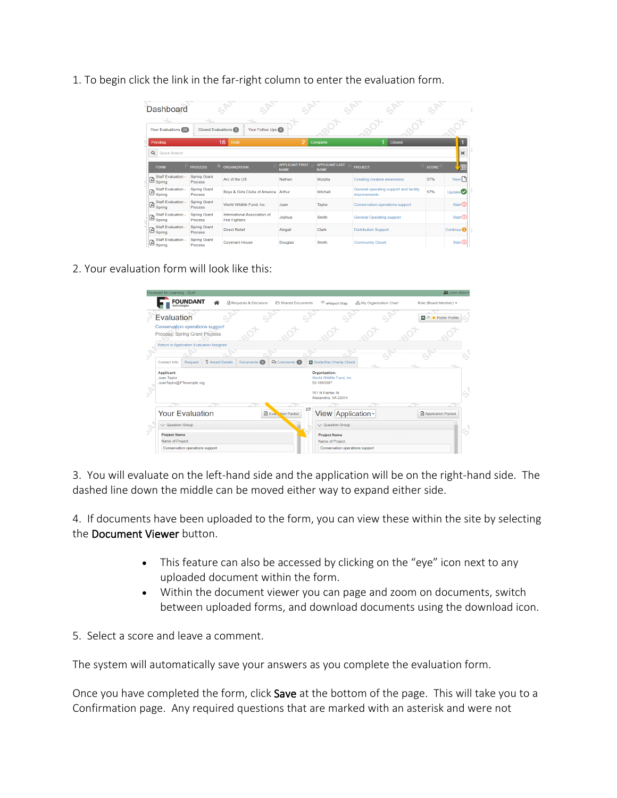1. To begin click the link in the far-right column to enter the evaluation form.

|          | Dashboard                                 |                                       |                                                      |                                       |                                      |                                                        |              |                            |  |
|----------|-------------------------------------------|---------------------------------------|------------------------------------------------------|---------------------------------------|--------------------------------------|--------------------------------------------------------|--------------|----------------------------|--|
|          | <b>Your Evaluations</b> 20                | <b>Closed Evaluations</b> 3           | Your Follow Ups (0)                                  |                                       |                                      |                                                        |              |                            |  |
| $\alpha$ | Pending<br><b>Quick Search</b>            |                                       | 16<br>Draft                                          | 2                                     | Complete                             | <b>Closed</b>                                          |              | $\overline{1}$<br>$\times$ |  |
|          | <b>FORM</b>                               | ı.<br><b>PROCESS</b>                  | <b>ORGANIZATION</b>                                  | <b>APPLICANT FIRST</b><br><b>NAME</b> | <b>APPLICANT LAST</b><br><b>NAME</b> | <b>PROJECT</b>                                         | <b>SCORE</b> | 僵                          |  |
|          | Staff Evaluation -<br>$\mathbb{B}$ Spring | <b>Spring Grant</b><br><b>Process</b> | Arc of the US                                        | Nathan                                | Murphy                               | Creating creative awareness                            | 57%          | $View\Box$                 |  |
| 図        | Staff Evaluation -<br>Spring              | <b>Spring Grant</b><br>Process        | Boys & Girls Clubs of America                        | Arthur                                | Mitchell                             | General operating support and facility<br>improvements | 57%          | Update <sup></sup>         |  |
| G        | <b>Staff Evaluation -</b><br>Spring       | <b>Spring Grant</b><br><b>Process</b> | World Wildlife Fund, Inc.                            | Juan                                  | Taylor                               | <b>Conservation operations support</b>                 |              | Start()                    |  |
| 図        | Staff Evaluation -<br>Spring              | Spring Grant<br><b>Process</b>        | International Association of<br><b>Fire Fighters</b> | Joshua                                | Smith                                | <b>General Operating support</b>                       |              | Start()                    |  |
| Ø        | <b>Staff Evaluation -</b><br>Spring       | <b>Spring Grant</b><br>Process        | <b>Direct Relief</b>                                 | Abigail                               | Clark                                | <b>Distribution Support</b>                            |              | Continue <sup>O</sup>      |  |
| ø        | Staff Evaluation -<br>Spring              | <b>Spring Grant</b><br>Process        | <b>Covenant House</b>                                | Douglas                               | Smith                                | <b>Community Closet</b>                                |              | Start()                    |  |

2. Your evaluation form will look like this:

|            | Foundant for Learning - GLM                                      |                                 |                  |                         |                    |                           |                             |                                   |                       | 21 John Allen -       |
|------------|------------------------------------------------------------------|---------------------------------|------------------|-------------------------|--------------------|---------------------------|-----------------------------|-----------------------------------|-----------------------|-----------------------|
|            |                                                                  | <b>FOUNDANT</b>                 | ≪                | नी Requests & Decisions |                    | Shared Documents          |                             | eReport Map                       | My Organization Chart | Role (Board Member) - |
|            | Evaluation                                                       |                                 |                  |                         |                    |                           |                             |                                   |                       | ■ ◇ ★ Public Profile  |
|            | Conservation operations support<br>Process: Spring Grant Process |                                 |                  |                         |                    |                           |                             |                                   |                       |                       |
|            | Return to Application Evaluation Assigned                        |                                 |                  |                         |                    |                           |                             |                                   |                       |                       |
|            |                                                                  |                                 |                  |                         |                    |                           |                             |                                   |                       |                       |
|            | Contact Info                                                     | Request                         | \$ Award Details |                         | Documents <b>O</b> | <b>Q</b> Comments 1       |                             | <b>ET</b> GuideStar Charity Check |                       |                       |
|            | Applicant:<br>Juan Taylor<br>JuanTaylor@FTexample.org            |                                 |                  |                         |                    |                           | Organization:<br>52-1693387 | World Wildlife Fund, Inc.         |                       |                       |
|            |                                                                  |                                 |                  |                         |                    |                           | 701 N Fairfax St            | Alexandria, VA 22314              |                       |                       |
|            | <b>Your Evaluation</b>                                           |                                 |                  |                         |                    | <b>B</b> Evan tion Packet | ⇄                           | View Application ~                |                       | Application Packet    |
|            | $\vee$ Question Group                                            |                                 |                  |                         |                    |                           |                             | $\vee$ Question Group             |                       |                       |
| $\sqrt{ }$ | <b>Project Name</b>                                              |                                 |                  |                         |                    |                           |                             | <b>Project Name</b>               |                       |                       |
|            | Name of Project.                                                 |                                 |                  |                         |                    |                           |                             | Name of Project.                  |                       |                       |
|            |                                                                  | Conservation operations support |                  |                         |                    |                           |                             | Conservation operations support   |                       |                       |

3. You will evaluate on the left-hand side and the application will be on the right-hand side. The dashed line down the middle can be moved either way to expand either side.

4. If documents have been uploaded to the form, you can view these within the site by selecting the Document Viewer button.

- This feature can also be accessed by clicking on the "eye" icon next to any uploaded document within the form.
- Within the document viewer you can page and zoom on documents, switch between uploaded forms, and download documents using the download icon.
- 5. Select a score and leave a comment.

The system will automatically save your answers as you complete the evaluation form.

Once you have completed the form, click Save at the bottom of the page. This will take you to a Confirmation page. Any required questions that are marked with an asterisk and were not